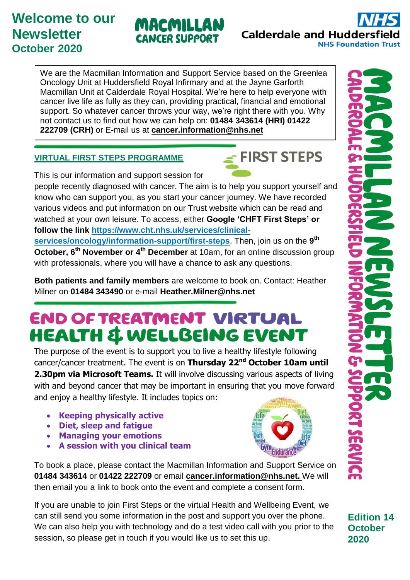## **Welcome to our Newsletter October 2020**

We are the Macmillan Information and Support Service based on the Greenlea Oncology Unit at Huddersfield Royal Infirmary and at the Jayne Garforth Macmillan Unit at Calderdale Royal Hospital. We're here to help everyone with cancer live life as fully as they can, providing practical, financial and emotional support. So whatever cancer throws your way, we're right there with you. Why not contact us to find out how we can help on: **01484 343614 (HRI) 01422 222709 (CRH)** or E-mail us at **[cancer.information@nhs.net](mailto:cancer.information@nhs.net)**

### **VIRTUAL FIRST STEPS PROGRAMME**

This is our information and support session for

people recently diagnosed with cancer. The aim is to help you support yourself and know who can support you, as you start your cancer journey. We have recorded various videos and put information on our Trust website which can be read and watched at your own leisure. To access, either **Google 'CHFT First Steps' or follow the link [https://www.cht.nhs.uk/services/clinical-](https://www.cht.nhs.uk/services/clinical-services/oncology/information-support/first-steps)**

**[services/oncology/information-support/first-steps](https://www.cht.nhs.uk/services/clinical-services/oncology/information-support/first-steps)**. Then, join us on the **9 th October, 6<sup>th</sup> November or 4<sup>th</sup> December** at 10am, for an online discussion group with professionals, where you will have a chance to ask any questions.

**Both patients and family members** are welcome to book on. Contact: Heather Milner on **01484 343490** or e-mail **Heather.Milner@nhs.net**

# **END OF TREATMENT VIRTUAL HEALTH & WELLBEING EVENT**

The purpose of the event is to support you to live a healthy lifestyle following cancer/cancer treatment. The event is on **Thursday 22nd October 10am until 2.30pm via Microsoft Teams.** It will involve discussing various aspects of living with and beyond cancer that may be important in ensuring that you move forward and enjoy a healthy lifestyle. It includes topics on:

- **Keeping physically active**
- **Diet, sleep and fatigue**
- **Managing your emotions**
- **A session with you clinical team**

To book a place, please contact the Macmillan Information and Support Service on **01484 343614** or **01422 222709** or email **[cancer.information@nhs.net.](mailto:cancer.information@nhs.net)** We will then email you a link to book onto the event and complete a consent form.

If you are unable to join First Steps or the virtual Health and Wellbeing Event, we can still send you some information in the post and support you over the phone. We can also help you with technology and do a test video call with you prior to the session, so please get in touch if you would like us to set this up.

**Edition 14 October 2020**



 $\leq$  FIRST STEPS



**Calderdale and Huddersf NHS Foundation Trust**